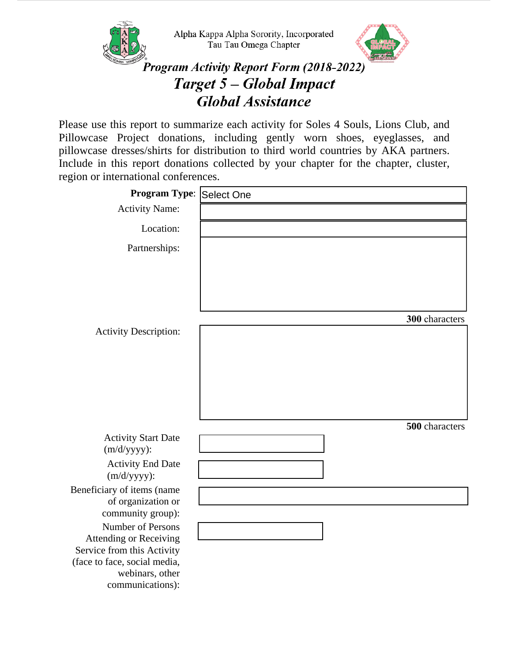

Please use this report to summarize each activity for Soles 4 Souls, Lions Club, and Pillowcase Project donations, including gently worn shoes, eyeglasses, and pillowcase dresses/shirts for distribution to third world countries by AKA partners. Include in this report donations collected by your chapter for the chapter, cluster, region or international conferences.

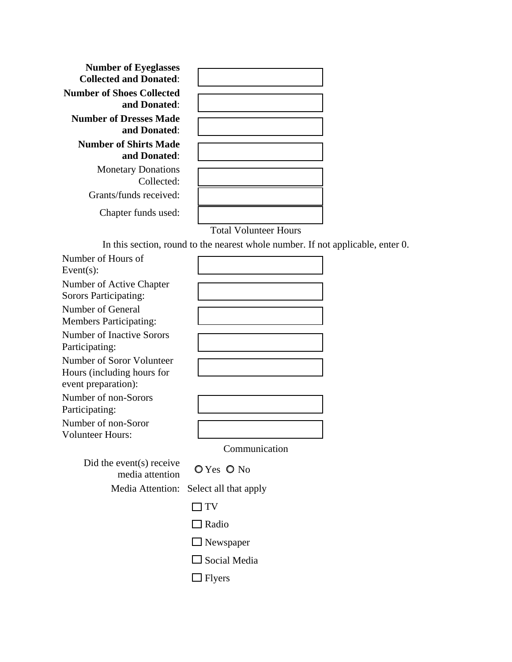| <b>Number of Eyeglasses</b>   |                              |
|-------------------------------|------------------------------|
| <b>Collected and Donated:</b> |                              |
| Number of Shoes Collected     |                              |
| and Donated:                  |                              |
| <b>Number of Dresses Made</b> |                              |
| and Donated:                  |                              |
| <b>Number of Shirts Made</b>  |                              |
| and Donated:                  |                              |
|                               |                              |
| <b>Monetary Donations</b>     |                              |
| Collected:                    |                              |
| Grants/funds received:        |                              |
| Chapter funds used:           |                              |
|                               | <b>Total Volunteer Hours</b> |

In this section, round to the nearest whole number. If not applicable, enter 0.

| Number of Hours of<br>Event $(s)$ :                                            |                                           |
|--------------------------------------------------------------------------------|-------------------------------------------|
| Number of Active Chapter<br>Sorors Participating:                              |                                           |
| Number of General<br><b>Members Participating:</b>                             |                                           |
| Number of Inactive Sorors<br>Participating:                                    |                                           |
| Number of Soror Volunteer<br>Hours (including hours for<br>event preparation): |                                           |
| Number of non-Sorors<br>Participating:                                         |                                           |
| Number of non-Soror<br><b>Volunteer Hours:</b>                                 |                                           |
|                                                                                | Communication                             |
| Did the event(s) receive                                                       | $\bigcap V_{\leq n}$ $\bigcap V_{\leq n}$ |

| event(s) receive | $O Yes$ O No |  |
|------------------|--------------|--|
| media attention  |              |  |

Media Attention: Select all that apply

 $\hfill\Box$ <br> <br> Radio

□ Newspaper

 $\Box$  Social Media

 $\Box$  <br> Flyers